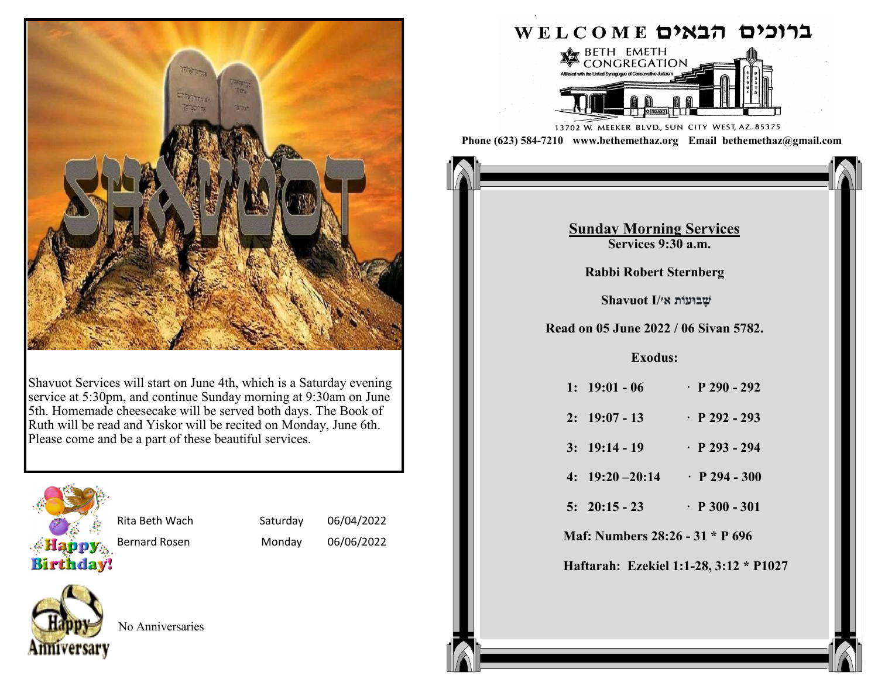

Shavuot Services will start on June 4th, which is a Saturday evening service at 5:30pm, and continue Sunday morning at 9:30am on June 5th. Homemade cheesecake will be served both days. The Book of Ruth will be read and Yiskor will be recited on Monday, June 6th. Please come and be a part of these beautiful services.



Rita Beth Wach Saturday 06/04/2022

Bernard Rosen Monday 06/06/2022



No Anniversaries

### ברוכים הבאים WELCOME



13702 W. MEEKER BLVD., SUN CITY WEST, AZ. 85375 **Phone (623) 584-7210 www.bethemethaz.org Email bethemethaz@gmail.com**

> **Saturday Morning Services Services 9:30 a.m.**

# **<u>Sunday Morning Services</u>** *Read only 2021* **<b>***Read only 2021 Replace 370 a.m.*

**1: 1:1 11 12 141 <b>141 <b>142 142 142 142 142 142 142 142 142 142 142 142 142 142 142 142 142 142 142 142 142 142 142 142 142 142 142 142 142 142 142 142** Parashat Pekudei/ **Rabbi Robert Sternberg**

**2: 37:12-22 · P 142 - 143 Read on 26 February 2022 / 25 Adar II 5782. שָּ בּועֹות א׳/I Shavuot**

### **1: 36:20 - 30 · P 377 - 378 Read on 05 June 2022 / 06 Sivan 5782.**

### **2: 36:31 - 38 · P 378 Exodus:**

| $1: 19:01 - 06$    | $\cdot$ P 290 - 292 |
|--------------------|---------------------|
| $2: 19:07 - 13$    | $\cdot$ P 292 - 293 |
| $3: 19:14 - 19$    | $\cdot$ P 293 - 294 |
| $4: 19:20 - 20:14$ | $\cdot$ P 294 - 300 |
| $5: 20:15 - 23$    | $\cdot$ P 300 - 301 |
|                    |                     |

**Maf: Numbers 28:26 - 31 \* P 696** 

**Haftarah: Ezekiel 1:1-28, 3:12 \* P1027**